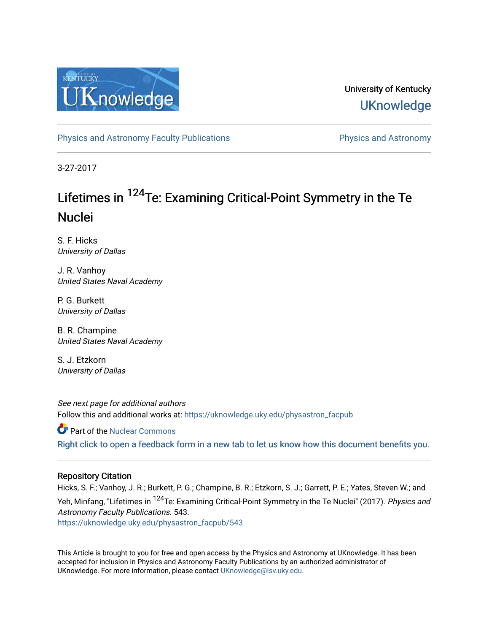

University of Kentucky **UKnowledge** 

[Physics and Astronomy Faculty Publications](https://uknowledge.uky.edu/physastron_facpub) **Physics and Astronomy** 

3-27-2017

# Lifetimes in <sup>124</sup>Te: Examining Critical-Point Symmetry in the Te Nuclei

S. F. Hicks University of Dallas

J. R. Vanhoy United States Naval Academy

P. G. Burkett University of Dallas

B. R. Champine United States Naval Academy

S. J. Etzkorn University of Dallas

See next page for additional authors Follow this and additional works at: [https://uknowledge.uky.edu/physastron\\_facpub](https://uknowledge.uky.edu/physastron_facpub?utm_source=uknowledge.uky.edu%2Fphysastron_facpub%2F543&utm_medium=PDF&utm_campaign=PDFCoverPages)

**Part of the [Nuclear Commons](http://network.bepress.com/hgg/discipline/203?utm_source=uknowledge.uky.edu%2Fphysastron_facpub%2F543&utm_medium=PDF&utm_campaign=PDFCoverPages)** 

[Right click to open a feedback form in a new tab to let us know how this document benefits you.](https://uky.az1.qualtrics.com/jfe/form/SV_9mq8fx2GnONRfz7)

## Repository Citation

Hicks, S. F.; Vanhoy, J. R.; Burkett, P. G.; Champine, B. R.; Etzkorn, S. J.; Garrett, P. E.; Yates, Steven W.; and Yeh, Minfang, "Lifetimes in <sup>124</sup>Te: Examining Critical-Point Symmetry in the Te Nuclei" (2017). Physics and Astronomy Faculty Publications. 543. [https://uknowledge.uky.edu/physastron\\_facpub/543](https://uknowledge.uky.edu/physastron_facpub/543?utm_source=uknowledge.uky.edu%2Fphysastron_facpub%2F543&utm_medium=PDF&utm_campaign=PDFCoverPages)

This Article is brought to you for free and open access by the Physics and Astronomy at UKnowledge. It has been accepted for inclusion in Physics and Astronomy Faculty Publications by an authorized administrator of UKnowledge. For more information, please contact [UKnowledge@lsv.uky.edu](mailto:UKnowledge@lsv.uky.edu).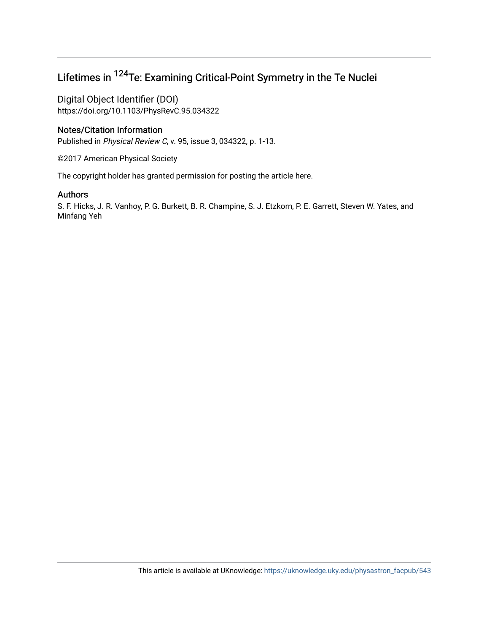# Lifetimes in 124Te: Examining Critical-Point Symmetry in the Te Nuclei

Digital Object Identifier (DOI) https://doi.org/10.1103/PhysRevC.95.034322

# Notes/Citation Information

Published in Physical Review C, v. 95, issue 3, 034322, p. 1-13.

©2017 American Physical Society

The copyright holder has granted permission for posting the article here.

# Authors

S. F. Hicks, J. R. Vanhoy, P. G. Burkett, B. R. Champine, S. J. Etzkorn, P. E. Garrett, Steven W. Yates, and Minfang Yeh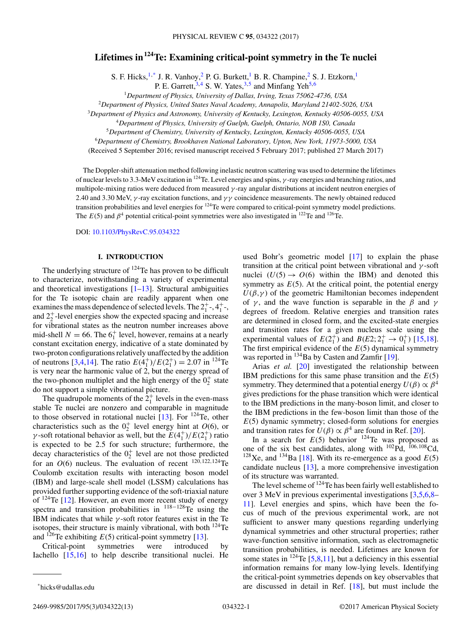## **Lifetimes in124Te: Examining critical-point symmetry in the Te nuclei**

S. F. Hicks,  $1, *$  J. R. Vanhoy,  $2$  P. G. Burkett,  $1$  B. R. Champine,  $2$  S. J. Etzkorn,  $1$ 

P. E. Garrett,  $3,4$  S. W. Yates,  $3,5$  and Minfang Yeh<sup>5,6</sup>

<sup>1</sup>*Department of Physics, University of Dallas, Irving, Texas 75062-4736, USA*

<sup>2</sup>*Department of Physics, United States Naval Academy, Annapolis, Maryland 21402-5026, USA*

<sup>3</sup>*Department of Physics and Astronomy, University of Kentucky, Lexington, Kentucky 40506-0055, USA*

<sup>4</sup>*Department of Physics, University of Guelph, Guelph, Ontario, NOB 1S0, Canada*

<sup>5</sup>*Department of Chemistry, University of Kentucky, Lexington, Kentucky 40506-0055, USA*

<sup>6</sup>*Department of Chemistry, Brookhaven National Laboratory, Upton, New York, 11973-5000, USA*

(Received 5 September 2016; revised manuscript received 5 February 2017; published 27 March 2017)

The Doppler-shift attenuation method following inelastic neutron scattering was used to determine the lifetimes of nuclear levels to 3.3-MeV excitation in 124Te. Level energies and spins, *γ* -ray energies and branching ratios, and multipole-mixing ratios were deduced from measured *γ* -ray angular distributions at incident neutron energies of 2.40 and 3.30 MeV, *γ* -ray excitation functions, and *γ γ* coincidence measurements. The newly obtained reduced transition probabilities and level energies for 124Te were compared to critical-point symmetry model predictions. The  $E(5)$  and  $\beta^4$  potential critical-point symmetries were also investigated in <sup>122</sup>Te and <sup>126</sup>Te.

DOI: [10.1103/PhysRevC.95.034322](https://doi.org/10.1103/PhysRevC.95.034322)

## **I. INTRODUCTION**

The underlying structure of <sup>124</sup>Te has proven to be difficult to characterize, notwithstanding a variety of experimental and theoretical investigations  $[1-13]$ . Structural ambiguities for the Te isotopic chain are readily apparent when one examines the mass dependence of selected levels. The  $2^+_1$ -,  $4^+_1$ -, and  $2^{+}_{2}$ -level energies show the expected spacing and increase for vibrational states as the neutron number increases above mid-shell  $N = 66$ . The  $6<sub>1</sub><sup>+</sup>$  level, however, remains at a nearly constant excitation energy, indicative of a state dominated by two-proton configurations relatively unaffected by the addition of neutrons [\[3,4,14\]](#page-14-0). The ratio  $E(4_1^+)/E(2_1^+) = 2.07$  in <sup>124</sup>Te is very near the harmonic value of 2, but the energy spread of the two-phonon multiplet and the high energy of the  $0^+_2$  state do not support a simple vibrational picture.

The quadrupole moments of the  $2<sub>1</sub><sup>+</sup>$  levels in the even-mass stable Te nuclei are nonzero and comparable in magnitude to those observed in rotational nuclei  $[13]$ . For  $^{124}$ Te, other characteristics such as the  $0^+_2$  level energy hint at  $O(6)$ , or *γ*-soft rotational behavior as well, but the  $E(4<sup>+</sup><sub>1</sub>)/E(2<sup>+</sup><sub>1</sub>)$  ratio is expected to be 2.5 for such structure; furthermore, the decay characteristics of the  $0^+_2$  level are not those predicted for an  $O(6)$  nucleus. The evaluation of recent  $120,122,124$ Te Coulomb excitation results with interacting boson model (IBM) and large-scale shell model (LSSM) calculations has provided further supporting evidence of the soft-triaxial nature of  $124$ Te [\[12\]](#page-14-0). However, an even more recent study of energy spectra and transition probabilities in <sup>118−128</sup>Te using the IBM indicates that while  $\gamma$ -soft rotor features exist in the Te isotopes, their structure is mainly vibrational, with both 124Te and  $^{126}$ Te exhibiting  $E(5)$  critical-point symmetry [\[13\]](#page-14-0).

Critical-point symmetries were introduced by Iachello [\[15,16\]](#page-14-0) to help describe transitional nuclei. He

Arias *et al.* [\[20\]](#page-14-0) investigated the relationship between IBM predictions for this same phase transition and the *E*(5) symmetry. They determined that a potential energy  $U(\beta) \propto \beta^4$ gives predictions for the phase transition which were identical to the IBM predictions in the many-boson limit, and closer to the IBM predictions in the few-boson limit than those of the  $E(5)$  dynamic symmetry; closed-form solutions for energies and transition rates for  $U(\beta) \propto \beta^4$  are found in Ref. [\[20\]](#page-14-0).

In a search for  $E(5)$  behavior  $124$ Te was proposed as one of the six best candidates, along with 102Pd, <sup>106</sup>*,*108Cd, <sup>128</sup>Xe, and <sup>134</sup>Ba [\[18\]](#page-14-0). With its re-emergence as a good  $E(5)$ candidate nucleus [\[13\]](#page-14-0), a more comprehensive investigation of its structure was warranted.

The level scheme of  $124$  Te has been fairly well established to over 3 MeV in previous experimental investigations [\[3,5,6,8–](#page-14-0) [11\]](#page-14-0). Level energies and spins, which have been the focus of much of the previous experimental work, are not sufficient to answer many questions regarding underlying dynamical symmetries and other structural properties; rather wave-function sensitive information, such as electromagnetic transition probabilities, is needed. Lifetimes are known for some states in  $^{124}$ Te [\[5,8,11\]](#page-14-0), but a deficiency in this essential information remains for many low-lying levels. Identifying the critical-point symmetries depends on key observables that are discussed in detail in Ref. [\[18\]](#page-14-0), but must include the

used Bohr's geometric model [\[17\]](#page-14-0) to explain the phase transition at the critical point between vibrational and *γ* -soft nuclei  $(U(5) \rightarrow O(6)$  within the IBM) and denoted this symmetry as  $E(5)$ . At the critical point, the potential energy  $U(\beta, \gamma)$  of the geometric Hamiltonian becomes independent of  $\gamma$ , and the wave function is separable in the  $\beta$  and  $\gamma$ degrees of freedom. Relative energies and transition rates are determined in closed form, and the excited-state energies and transition rates for a given nucleus scale using the experimental values of  $E(2_1^+)$  and  $B(E2; 2_1^+ \rightarrow 0_1^+)$  [\[15,18\]](#page-14-0). The first empirical evidence of the *E*(5) dynamical symmetry was reported in  $^{134}$ Ba by Casten and Zamfir [\[19\]](#page-14-0).

<sup>\*</sup>hicks@udallas.edu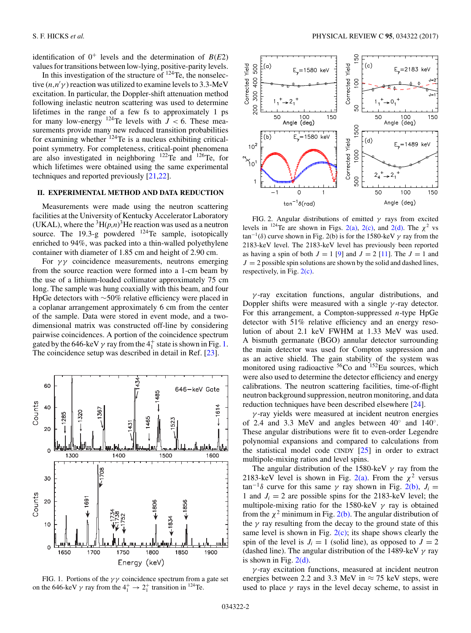<span id="page-3-0"></span>identification of  $0^+$  levels and the determination of  $B(E2)$ values for transitions between low-lying, positive-parity levels.

In this investigation of the structure of  $124$ Te, the nonselective  $(n, n' \gamma)$  reaction was utilized to examine levels to 3.3-MeV excitation. In particular, the Doppler-shift attenuation method following inelastic neutron scattering was used to determine lifetimes in the range of a few fs to approximately 1 ps for many low-energy  $^{124}$ Te levels with  $J < 6$ . These measurements provide many new reduced transition probabilities for examining whether <sup>124</sup>Te is a nucleus exhibiting criticalpoint symmetry. For completeness, critical-point phenomena are also investigated in neighboring <sup>122</sup>Te and <sup>126</sup>Te, for which lifetimes were obtained using the same experimental techniques and reported previously [\[21,22\]](#page-14-0).

## **II. EXPERIMENTAL METHOD AND DATA REDUCTION**

Measurements were made using the neutron scattering facilities at the University of Kentucky Accelerator Laboratory (UKAL), where the  ${}^{3}H(p,n){}^{3}He$  reaction was used as a neutron source. The 19.3-g powdered  $^{124}$ Te sample, isotopically enriched to 94%, was packed into a thin-walled polyethylene container with diameter of 1.85 cm and height of 2.90 cm.

For *γ γ* coincidence measurements, neutrons emerging from the source reaction were formed into a 1-cm beam by the use of a lithium-loaded collimator approximately 75 cm long. The sample was hung coaxially with this beam, and four HpGe detectors with ∼50% relative efficiency were placed in a coplanar arrangement approximately 6 cm from the center of the sample. Data were stored in event mode, and a twodimensional matrix was constructed off-line by considering pairwise coincidences. A portion of the coincidence spectrum gated by the 646-keV  $\gamma$  ray from the  $4^+_1$  state is shown in Fig. 1. The coincidence setup was described in detail in Ref. [\[23\]](#page-14-0).





FIG. 2. Angular distributions of emitted *γ* rays from excited levels in <sup>124</sup>Te are shown in Figs. 2(a), 2(c), and 2(d). The  $\chi^2$  vs  $\tan^{-1}(\delta)$  curve shown in Fig. 2(b) is for the 1580-keV  $\gamma$  ray from the 2183-keV level. The 2183-keV level has previously been reported as having a spin of both  $J = 1$  [\[9\]](#page-14-0) and  $J = 2$  [\[11\]](#page-14-0). The  $J = 1$  and  $J = 2$  possible spin solutions are shown by the solid and dashed lines, respectively, in Fig. 2(c).

*γ* -ray excitation functions, angular distributions, and Doppler shifts were measured with a single *γ* -ray detector. For this arrangement, a Compton-suppressed *n*-type HpGe detector with 51% relative efficiency and an energy resolution of about 2.1 keV FWHM at 1.33 MeV was used. A bismuth germanate (BGO) annular detector surrounding the main detector was used for Compton suppression and as an active shield. The gain stability of the system was monitored using radioactive  $56C$ o and  $152E$ u sources, which were also used to determine the detector efficiency and energy calibrations. The neutron scattering facilities, time-of-flight neutron background suppression, neutron monitoring, and data reduction techniques have been described elsewhere [\[24\]](#page-14-0).

*γ* -ray yields were measured at incident neutron energies of 2.4 and 3.3 MeV and angles between 40◦ and 140◦. These angular distributions were fit to even-order Legendre polynomial expansions and compared to calculations from the statistical model code CINDY [\[25\]](#page-14-0) in order to extract multipole-mixing ratios and level spins.

The angular distribution of the 1580-keV *γ* ray from the 2183-keV level is shown in Fig. 2(a). From the  $\chi^2$  versus  $\tan^{-1}\delta$  curve for this same  $\gamma$  ray shown in Fig. 2(b),  $J_i =$ 1 and  $J_i = 2$  are possible spins for the 2183-keV level; the multipole-mixing ratio for the 1580-keV *γ* ray is obtained from the  $\chi^2$  minimum in Fig.  $2(b)$ . The angular distribution of the  $\gamma$  ray resulting from the decay to the ground state of this same level is shown in Fig.  $2(c)$ ; its shape shows clearly the spin of the level is  $J_i = 1$  (solid line), as opposed to  $J = 2$ (dashed line). The angular distribution of the 1489-keV *γ* ray is shown in Fig.  $2(d)$ .

*γ* -ray excitation functions, measured at incident neutron energies between 2.2 and 3.3 MeV in  $\approx$  75 keV steps, were used to place  $\gamma$  rays in the level decay scheme, to assist in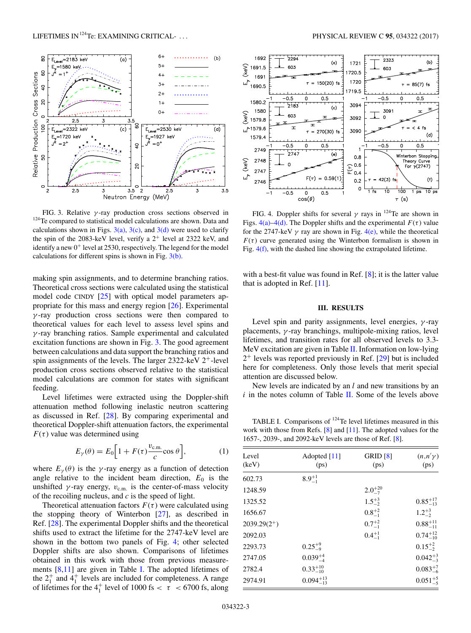<span id="page-4-0"></span>

FIG. 3. Relative *γ* -ray production cross sections observed in <sup>124</sup>Te compared to statistical model calculations are shown. Data and calculations shown in Figs.  $3(a)$ ,  $3(c)$ , and  $3(d)$  were used to clarify the spin of the 2083-keV level, verify a  $2^+$  level at 2322 keV, and identify a new  $0^+$  level at 2530, respectively. The legend for the model calculations for different spins is shown in Fig. 3(b).

making spin assignments, and to determine branching ratios. Theoretical cross sections were calculated using the statistical model code CINDY [\[25\]](#page-14-0) with optical model parameters appropriate for this mass and energy region [\[26\]](#page-14-0). Experimental *γ* -ray production cross sections were then compared to theoretical values for each level to assess level spins and *γ* -ray branching ratios. Sample experimental and calculated excitation functions are shown in Fig. 3. The good agreement between calculations and data support the branching ratios and spin assignments of the levels. The larger  $2322$ -keV  $2^+$ -level production cross sections observed relative to the statistical model calculations are common for states with significant feeding.

Level lifetimes were extracted using the Doppler-shift attenuation method following inelastic neutron scattering as discussed in Ref. [\[28\]](#page-14-0). By comparing experimental and theoretical Doppler-shift attenuation factors, the experimental  $F(\tau)$  value was determined using

$$
E_{\gamma}(\theta) = E_0 \left[ 1 + F(\tau) \frac{v_{\text{c.m.}}}{c} \cos \theta \right],\tag{1}
$$

where  $E_{\gamma}(\theta)$  is the *γ*-ray energy as a function of detection angle relative to the incident beam direction,  $E_0$  is the unshifted  $\gamma$ -ray energy,  $v_{\text{c.m.}}$  is the center-of-mass velocity of the recoiling nucleus, and *c* is the speed of light.

Theoretical attenuation factors  $F(\tau)$  were calculated using the stopping theory of Winterbon [\[27\]](#page-14-0), as described in Ref. [\[28\]](#page-14-0). The experimental Doppler shifts and the theoretical shifts used to extract the lifetime for the 2747-keV level are shown in the bottom two panels of Fig. 4; other selected Doppler shifts are also shown. Comparisons of lifetimes obtained in this work with those from previous measurements [\[8,11\]](#page-14-0) are given in Table I. The adopted lifetimes of the  $2^+_1$  and  $4^+_1$  levels are included for completeness. A range of lifetimes for the  $4<sub>1</sub><sup>+</sup>$  level of 1000 fs  $<\tau<$  6700 fs, along



FIG. 4. Doppler shifts for several *γ* rays in 124Te are shown in Figs.  $4(a) - 4(d)$ . The Doppler shifts and the experimental  $F(\tau)$  value for the 2747-keV  $\gamma$  ray are shown in Fig. 4(e), while the theoretical  $F(\tau)$  curve generated using the Winterbon formalism is shown in Fig. 4(f), with the dashed line showing the extrapolated lifetime.

with a best-fit value was found in Ref.  $[8]$ ; it is the latter value that is adopted in Ref. [\[11\]](#page-14-0).

## **III. RESULTS**

Level spin and parity assignments, level energies, *γ* -ray placements, *γ* -ray branchings, multipole-mixing ratios, level lifetimes, and transition rates for all observed levels to 3.3- MeV excitation are given in Table [II.](#page-5-0) Information on low-lying  $2^+$  levels was reported previously in Ref. [\[29\]](#page-14-0) but is included here for completeness. Only those levels that merit special attention are discussed below.

New levels are indicated by an *l* and new transitions by an *i* in the notes column of Table [II.](#page-5-0) Some of the levels above

TABLE I. Comparisons of 124Te level lifetimes measured in this work with those from Refs.  $[8]$  and  $[11]$ . The adopted values for the 1657-, 2039-, and 2092-keV levels are those of Ref. [\[8\]](#page-14-0).

| Level<br>(keV)   | Adopted [11]<br>(ps) | GRID [8]<br>(ps) | $(n,n'\gamma)$<br>(p <sub>S</sub> ) |
|------------------|----------------------|------------------|-------------------------------------|
| 602.73           | $8.9^{+1}_{-1}$      |                  |                                     |
| 1248.59          |                      | $2.0^{+20}_{-7}$ |                                     |
| 1325.52          |                      | $1.5^{+3}_{-2}$  | $0.85^{+17}_{-13}$                  |
| 1656.67          |                      | $0.8^{+2}_{-1}$  | $1.2^{+3}_{-2}$                     |
| $2039.29(2^{+})$ |                      | $0.7^{+2}_{-1}$  | $0.88^{+11}_{-11}$                  |
| 2092.03          |                      | $0.4^{+1}_{-1}$  | $0.74^{+12}_{-10}$                  |
| 2293.73          | $0.25^{+9}_{-9}$     |                  | $0.15^{+2}_{-2}$                    |
| 2747.05          | $0.039^{+4}_{-4}$    |                  | $0.042_{-3}^{+3}$                   |
| 2782.4           | $0.33^{+10}_{-10}$   |                  | $0.083^{+7}_{-6}$                   |
| 2974.91          | $0.094_{-13}^{+13}$  |                  | $0.051_{-5}^{+5}$                   |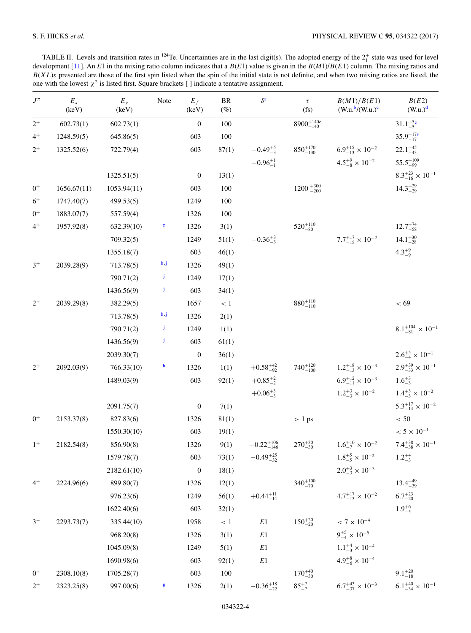<span id="page-5-0"></span>TABLE II. Levels and transition rates in  $^{124}$ Te. Uncertainties are in the last digit(s). The adopted energy of the  $2^+_1$  state was used for level development [\[11\]](#page-14-0). An *E*1 in the mixing ratio column indicates that a *B*(*E*1) value is given in the *B*(*M*1)/*B*(*E*1) column. The mixing ratios and  $B(XL)$ s presented are those of the first spin listed when the spin of the initial state is not definite, and when two mixing ratios are listed, the one with the lowest  $\chi^2$  is listed first. Square brackets [] indicate a tentative assignment.

| $J^\pi$               | $\mathcal{E}_x$<br>(keV) | $E_{\gamma}$<br>(keV) | Note | $E_f$<br>(keV)   | $\rm{BR}$<br>$(\%)$ | $\delta^{\rm a}$      | $\tau$<br>(fs)            | B(M1)/B(E1)<br>$(W.u.^{b}/(W.u.)^c)$ | B(E2)<br>(W.u.) <sup>d</sup>      |
|-----------------------|--------------------------|-----------------------|------|------------------|---------------------|-----------------------|---------------------------|--------------------------------------|-----------------------------------|
| $2^+$                 | 602.73(1)                | 602.73(1)             |      | $\boldsymbol{0}$ | 100                 |                       | $8900^{+140e}_{-140}$     |                                      | $31.1^{+5e}_{-5}$                 |
| $4^+$                 | 1248.59(5)               | 645.86(5)             |      | 603              | 100                 |                       |                           |                                      | $35.9^{+17f}_{-17}$               |
| $2^+$                 | 1325.52(6)               | 722.79(4)             |      | 603              | 87(1)               | $-0.49^{+5}_{-3}$     | $850^{+170}_{-130}$       | $6.9^{+15}_{-13} \times 10^{-2}$     | $22.1^{+45}_{-43}$                |
|                       |                          |                       |      |                  |                     | $-0.96^{+1}_{-1}$     |                           | $4.5^{+9}_{-8} \times 10^{-2}$       | $55.5^{+109}_{-99}$               |
|                       |                          | 1325.51(5)            |      | $\boldsymbol{0}$ | 13(1)               |                       |                           |                                      | $8.3^{+23}_{-16} \times 10^{-1}$  |
| $0+$                  | 1656.67(11)              | 1053.94(11)           |      | 603              | 100                 |                       | $1200 + \frac{300}{-200}$ |                                      | $14.3^{+29}_{-29}$                |
| $6+$                  | 1747.40(7)               | 499.53(5)             |      | 1249             | 100                 |                       |                           |                                      |                                   |
| $0^+$                 | 1883.07(7)               | 557.59(4)             |      | 1326             | 100                 |                       |                           |                                      |                                   |
| $4^+$                 | 1957.92(8)               | 632.39(10)            | g    | 1326             | 3(1)                |                       | $520^{+110}_{-80}$        |                                      | $12.7^{+74}_{-58}$                |
|                       |                          | 709.32(5)             |      | 1249             | 51(1)               | $-0.36^{+3.0}_{-3.0}$ |                           | $7.7^{+17}_{-15} \times 10^{-2}$     | $14.1_{-28}^{+30}$                |
|                       |                          | 1355.18(7)            |      | 603              | 46(1)               |                       |                           |                                      | $4.3^{+9}_{-9}$                   |
| $3^+$                 | 2039.28(9)               | 713.78(5)             | h, j | 1326             | 49(1)               |                       |                           |                                      |                                   |
|                       |                          | 790.71(2)             | Ĵ    | 1249             | 17(1)               |                       |                           |                                      |                                   |
|                       |                          | 1436.56(9)            | Ĵ    | 603              | 34(1)               |                       |                           |                                      |                                   |
| $2^+$                 | 2039.29(8)               | 382.29(5)             |      | 1657             | < 1                 |                       | $880^{+110}_{-110}$       |                                      | < 69                              |
|                       |                          | 713.78(5)             | h, j | 1326             | 2(1)                |                       |                           |                                      |                                   |
|                       |                          | 790.71(2)             | Ĵ    | 1249             | 1(1)                |                       |                           |                                      | $8.1^{+104}_{-81} \times 10^{-1}$ |
|                       |                          | 1436.56(9)            | Ĵ    | 603              | 61(1)               |                       |                           |                                      |                                   |
|                       |                          | 2039.30(7)            |      | $\boldsymbol{0}$ | 36(1)               |                       |                           |                                      | $2.6^{+5}_{-4} \times 10^{-1}$    |
| $2^+$                 | 2092.03(9)               | 766.33(10)            | h    | 1326             | 1(1)                | $+0.58^{+42}_{-92}$   | $740^{+120}_{-100}$       | $1.2^{+18}_{-13} \times 10^{-3}$     | $2.9^{+39}_{-33} \times 10^{-1}$  |
|                       |                          | 1489.03(9)            |      | 603              | 92(1)               | $+0.85^{+2}_{-2}$     |                           | $6.9^{+12}_{-11} \times 10^{-3}$     | $1.6^{+3}_{-3}$                   |
|                       |                          |                       |      |                  |                     | $+0.06^{+3}_{-3}$     |                           | $1.2^{+3}_{-3} \times 10^{-2}$       | $1.4^{+3}_{-3} \times 10^{-2}$    |
|                       |                          | 2091.75(7)            |      | $\mathbf{0}$     | 7(1)                |                       |                           |                                      | $5.3^{+17}_{-14} \times 10^{-2}$  |
| $0^+$                 | 2153.37(8)               | 827.83(6)             |      | 1326             | 81(1)               |                       | $> 1 \text{ ps}$          |                                      | $< 50$                            |
|                       |                          | 1550.30(10)           |      | 603              | 19(1)               |                       |                           |                                      | $< 5 \times 10^{-1}$              |
| $1^+$                 | 2182.54(8)               | 856.90(8)             |      | 1326             | 9(1)                | $+0.22^{+106}_{-146}$ | $270^{+30}_{-30}$         | $1.6^{+10}_{-7} \times 10^{-2}$      | $7.4^{+38}_{-38} \times 10^{-1}$  |
|                       |                          | 1579.78(7)            |      | 603              | 73(1)               | $-0.49_{-32}^{+25}$   |                           | $1.8^{+5}_{-5} \times 10^{-2}$       | $1.2^{+4}_{-3}$                   |
|                       |                          | 2182.61(10)           |      | $\boldsymbol{0}$ | 18(1)               |                       |                           | $2.0^{+3}_{-3} \times 10^{-3}$       |                                   |
| $4^+$                 | 2224.96(6)               | 899.80(7)             |      | 1326             | 12(1)               |                       | $340^{+100}_{-70}$        |                                      | $13.4^{+49}_{-39}$                |
|                       |                          | 976.23(6)             |      | 1249             | 56(1)               | $+0.44_{-14}^{+11}$   |                           | $4.7^{+17}_{-13} \times 10^{-2}$     | $6.7^{+23}_{-20}$                 |
|                       |                          | 1622.40(6)            |      | 603              | 32(1)               |                       |                           |                                      | $1.9^{+6}_{-5}$                   |
| $3-$                  | 2293.73(7)               | 335.44(10)            |      | 1958             | $<\,1$              | $E1\,$                | $150^{+20}_{-20}$         | $< 7 \times 10^{-4}$                 |                                   |
|                       |                          | 968.20(8)             |      | 1326             | 3(1)                | $E1\,$                |                           | $9^{+5}_{-4} \times 10^{-5}$         |                                   |
|                       |                          | 1045.09(8)            |      | 1249             | 5(1)                | E1                    |                           | $1.1^{+4}_{-3} \times 10^{-4}$       |                                   |
|                       |                          | 1690.98(6)            |      | 603              | 92(1)               | $E1\,$                |                           | $4.9^{+8}_{-6} \times 10^{-4}$       |                                   |
| $0^+$                 | 2308.10(8)               | 1705.28(7)            |      | 603              | $100\,$             |                       | $170^{+40}_{-30}$         |                                      | $9.1_{-18}^{+20}$                 |
| $\frac{2^{+}}{2^{+}}$ | 2323.25(8)               | 997.00(6)             | g    | 1326             | 2(1)                | $-0.36_{-22}^{+18}$   | $85^{+7}_{-7}$            | $6.7^{+43}_{-37} \times 10^{-3}$     | $6.1_{-34}^{+40} \times 10^{-1}$  |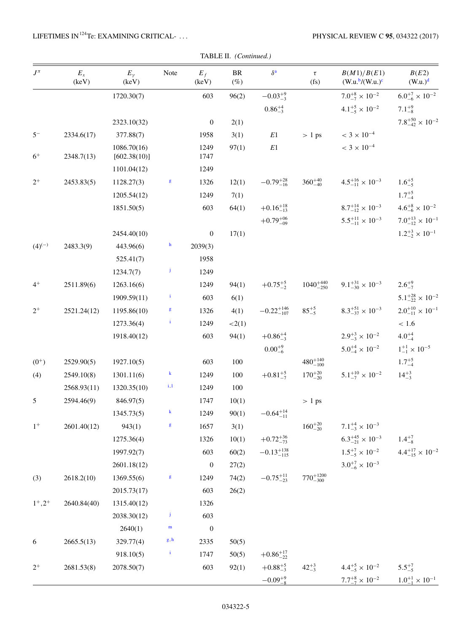| TABLE II. (Continued.) |
|------------------------|

| $J^{\pi}$   | $E_x$<br>(keV) | $E_{\gamma}$<br>(keV)       | Note         | $E_f$<br>(keV)   | $\rm{BR}$<br>$(\%)$ | $\delta^{\bf a}$      | $\tau$<br>(f <sub>S</sub> ) | B(M1)/B(E1)<br>$(W.u.^{b}/(W.u.)^{c}$                         | B(E2)<br>$(W.u.)^d$              |
|-------------|----------------|-----------------------------|--------------|------------------|---------------------|-----------------------|-----------------------------|---------------------------------------------------------------|----------------------------------|
|             |                | 1720.30(7)                  |              | 603              | 96(2)               | $-0.03^{+9}_{-3}$     |                             | $7.0^{+8}_{-7} \times 10^{-2}$                                | $6.0^{+7}_{-6} \times 10^{-2}$   |
|             |                |                             |              |                  |                     | $0.86^{+4}_{-3}$      |                             | $4.1^{+5}_{-5} \times 10^{-2}$                                | $7.1^{+9}_{-8}$                  |
|             |                | 2323.10(32)                 |              | $\boldsymbol{0}$ | 2(1)                |                       |                             |                                                               | $7.8^{+50}_{-42} \times 10^{-2}$ |
| $5-$        | 2334.6(17)     | 377.88(7)                   |              | 1958             | 3(1)                | E1                    | > 1 ps                      | $< 3 \times 10^{-4}$                                          |                                  |
| $6+$        | 2348.7(13)     | 1086.70(16)<br>[602.38(10)] |              | 1249<br>1747     | 97(1)               | $E1\,$                |                             | $< 3 \times 10^{-4}$                                          |                                  |
|             |                | 1101.04(12)                 |              | 1249             |                     |                       |                             |                                                               |                                  |
| $2^+$       | 2453.83(5)     | 1128.27(3)                  | g            | 1326             | 12(1)               | $-0.79_{-16}^{+28}$   | $360^{+40}_{-40}$           | $4.5^{+16}_{-11} \times 10^{-3}$                              | $1.6^{+5}_{-5}$                  |
|             |                | 1205.54(12)                 |              | 1249             | 7(1)                |                       |                             |                                                               | $1.7^{+5}_{-4}$                  |
|             |                | 1851.50(5)                  |              | 603              | 64(1)               | $+0.16_{-13}^{+18}$   |                             | $8.7^{+14}_{-12} \times 10^{-3}$                              | $4.6^{+8}_{-6} \times 10^{-2}$   |
|             |                |                             |              |                  |                     | $+0.79^{+06}_{-09}$   |                             | $5.5^{+11}_{-11} \times 10^{-3}$                              | $7.0^{+13}_{-12} \times 10^{-1}$ |
|             |                | 2454.40(10)                 |              | $\boldsymbol{0}$ | 17(1)               |                       |                             |                                                               | $1.2^{+3}_{-2} \times 10^{-1}$   |
| $(4)^{(-)}$ | 2483.3(9)      | 443.96(6)                   | $\mathbf h$  | 2039(3)          |                     |                       |                             |                                                               |                                  |
|             |                | 525.41(7)                   |              | 1958             |                     |                       |                             |                                                               |                                  |
|             |                | 1234.7(7)                   | j            | 1249             |                     |                       |                             |                                                               |                                  |
| $4^+$       | 2511.89(6)     | 1263.16(6)                  |              | 1249             | 94(1)               | $+0.75^{+5}_{-2}$     | $1040^{+440}_{-250}$        | $9.1_{-30}^{+31} \times 10^{-3}$                              | $2.6^{+9}_{-7}$                  |
|             |                | 1909.59(11)                 | $\mathbf{i}$ | 603              | 6(1)                |                       |                             |                                                               | $5.1^{+28}_{-22} \times 10^{-2}$ |
| $2^+$       | 2521.24(12)    | 1195.86(10)                 | g            | 1326             | 4(1)                | $-0.22_{-107}^{+146}$ | $85^{+5}_{-5}$              | $8.3^{+51}_{-37} \times 10^{-3}$                              | $2.0^{+10}_{-11} \times 10^{-1}$ |
|             |                | 1273.36(4)                  | i,           | 1249             | <2(1)               |                       |                             |                                                               | $<1.6\,$                         |
|             |                | 1918.40(12)                 |              | 603              | 94(1)               | $+0.86^{+4}_{-3}$     |                             | $2.9^{+3}_{-3} \times 10^{-2}$                                | $4.0^{+4}_{-4}$                  |
|             |                |                             |              |                  |                     | $0.00^{+9}_{-6}$      |                             | $5.0^{+4}_{-4} \times 10^{-2}$                                | $1^{+1}_{-1} \times 10^{-5}$     |
| $(0^{+})$   | 2529.90(5)     | 1927.10(5)                  |              | 603              | 100                 |                       | $480^{+140}_{-100}$         |                                                               | $1.7^{+5}_{-4}$                  |
| (4)         | 2549.10(8)     | 1301.11(6)                  | $\bf{k}$     | 1249             | 100                 | $+0.81^{+5}_{-7}$     | $170^{+20}_{-20}$           | $5.1^{+10}_{-7} \times 10^{-2}$                               | $14^{+3}_{-3}$                   |
|             | 2568.93(11)    | 1320.35(10)                 | $_{\rm i,l}$ | 1249             | 100                 |                       |                             |                                                               |                                  |
| 5           | 2594.46(9)     | 846.97(5)                   |              | 1747             | 10(1)               |                       | > 1 ps                      |                                                               |                                  |
|             |                | 1345.73(5)                  | $\bf k$      | 1249             | 90(1)               | $-0.64_{-11}^{+14}$   |                             |                                                               |                                  |
| $1^+$       | 2601.40(12)    | 943(1)                      | $\mathsf g$  | 1657             | 3(1)                |                       | $160^{+20}_{-20}$           | $7.1^{+4}_{-3} \times 10^{-3}$                                |                                  |
|             |                | 1275.36(4)                  |              | 1326             | 10(1)               | $+0.72_{-73}^{+36}$   |                             | $6.3^{+45}_{-21} \times 10^{-3}$                              | $1.4^{+7}_{-8}$                  |
|             |                | 1997.92(7)                  |              | 603              | 60(2)               | $-0.13_{-115}^{+138}$ |                             | $1.5^{+7}_{-5} \times 10^{-2}$                                | $4.4^{+17}_{-15} \times 10^{-2}$ |
|             |                | 2601.18(12)                 |              | $\boldsymbol{0}$ | 27(2)               |                       |                             | $3.0^{+7}_{-6} \times 10^{-3}$                                |                                  |
| (3)         | 2618.2(10)     | 1369.55(6)                  | $\mathsf g$  | 1249             | 74(2)               | $-0.75_{-23}^{+11}$   | $770^{+1200}_{-300}$        |                                                               |                                  |
|             |                | 2015.73(17)                 |              | 603              | 26(2)               |                       |                             |                                                               |                                  |
| $1^+, 2^+$  | 2640.84(40)    | 1315.40(12)                 |              | 1326             |                     |                       |                             |                                                               |                                  |
|             |                | 2038.30(12)                 | $\mathbf{j}$ | 603              |                     |                       |                             |                                                               |                                  |
|             |                | 2640(1)                     | $\mathbf{m}$ | $\boldsymbol{0}$ |                     |                       |                             |                                                               |                                  |
| 6           | 2665.5(13)     | 329.77(4)                   | g, h         | 2335             | 50(5)               |                       |                             |                                                               |                                  |
|             |                | 918.10(5)                   | $\mathbf{i}$ | 1747             | 50(5)               | $+0.86^{+17}_{-22}$   |                             |                                                               |                                  |
| $2^+$       | 2681.53(8)     | 2078.50(7)                  |              | 603              | 92(1)               | $+0.88^{+5}_{-3}$     | $42^{+3}_{-3}$              | $4.4^{+5}_{-5} \times 10^{-2}$ $5.5^{+7}_{-5}$                |                                  |
|             |                |                             |              |                  |                     | $-0.09^{+9}_{-8}$     |                             | $7.7^{+8}_{-7} \times 10^{-2}$ $1.0^{+1}_{-1} \times 10^{-1}$ |                                  |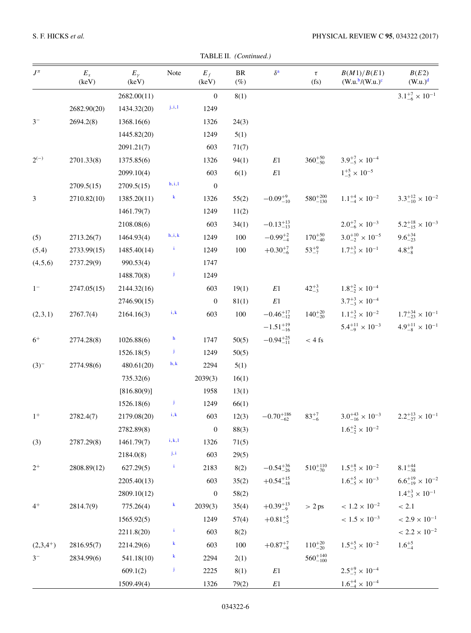TABLE II. (Continued.)

| $J^\pi$       | $\mathcal{E}_x$<br>(keV) | $E_{\gamma}$<br>(keV) | Note                                 | $E_f$<br>(keV)   | $\rm{BR}$<br>$(\%)$ | $\delta^{\rm a}$     | $\tau$<br>(fs)      | B(M1)/B(E1)<br>$(W.u.^{b}/(W.u.)^{c}$                             | $B(E2)$<br>$(W.u.)^d$            |
|---------------|--------------------------|-----------------------|--------------------------------------|------------------|---------------------|----------------------|---------------------|-------------------------------------------------------------------|----------------------------------|
|               |                          | 2682.00(11)           |                                      | $\mathbf{0}$     | 8(1)                |                      |                     |                                                                   | $3.1^{+7}_{-6} \times 10^{-1}$   |
|               | 2682.90(20)              | 1434.32(20)           | $_{\rm j,i,l}$                       | 1249             |                     |                      |                     |                                                                   |                                  |
| $3-$          | 2694.2(8)                | 1368.16(6)            |                                      | 1326             | 24(3)               |                      |                     |                                                                   |                                  |
|               |                          | 1445.82(20)           |                                      | 1249             | 5(1)                |                      |                     |                                                                   |                                  |
|               |                          | 2091.21(7)            |                                      | 603              | 71(7)               |                      |                     |                                                                   |                                  |
| $2^{(-)}$     | 2701.33(8)               | 1375.85(6)            |                                      | 1326             | 94(1)               | $E1\,$               | $360^{+50}_{-50}$   | $3.9^{+7}_{-5} \times 10^{-4}$                                    |                                  |
|               |                          | 2099.10(4)            |                                      | 603              | 6(1)                | $\mathbb{E}1$        |                     | $1^{+5}_{-5} \times 10^{-5}$                                      |                                  |
|               | 2709.5(15)               | 2709.5(15)            | $\mathbf{h}, \mathbf{i}, \mathbf{l}$ | $\boldsymbol{0}$ |                     |                      |                     |                                                                   |                                  |
| 3             | 2710.82(10)              | 1385.20(11)           | $\bf{k}$                             | 1326             | 55(2)               | $-0.09^{+9}_{-10}$   | $580^{+200}_{-130}$ | $1.1^{+4}_{-4} \times 10^{-2}$                                    | $3.3_{-10}^{+12} \times 10^{-2}$ |
|               |                          | 1461.79(7)            |                                      | 1249             | 11(2)               |                      |                     |                                                                   |                                  |
|               |                          | 2108.08(6)            |                                      | 603              | 34(1)               | $-0.13_{-13}^{+13}$  |                     | $2.0^{+7}_{-6} \times 10^{-3}$                                    | $5.2^{+18}_{-15} \times 10^{-3}$ |
| (5)           | 2713.26(7)               | 1464.93(4)            | h, i, k                              | 1249             | 100                 | $-0.99^{+2}_{-4}$    | $170^{+50}_{-40}$   | $3.0^{+10}_{-2} \times 10^{-5}$                                   | $9.6^{+34}_{-23}$                |
| (5,4)         | 2733.99(15)              | 1485.40(14)           | $\mathbf{i}$                         | 1249             | 100                 | $+0.30^{+7}_{-6}$    | $53^{+9}_{-7}$      | $1.7^{+3}_{-3} \times 10^{-1}$                                    | $4.8^{+9}_{-8}$                  |
| (4,5,6)       | 2737.29(9)               | 990.53(4)             |                                      | 1747             |                     |                      |                     |                                                                   |                                  |
|               |                          | 1488.70(8)            | Ĵ                                    | 1249             |                     |                      |                     |                                                                   |                                  |
| $1-$          | 2747.05(15)              | 2144.32(16)           |                                      | 603              | 19(1)               | $E1\,$               | $42^{+3}_{-3}$      | $1.8^{+2}_{-2} \times 10^{-4}$                                    |                                  |
|               |                          | 2746.90(15)           |                                      | $\boldsymbol{0}$ | 81(1)               | $E1\,$               |                     | $3.7^{+3}_{-3} \times 10^{-4}$                                    |                                  |
| (2,3,1)       | 2767.7(4)                | 2164.16(3)            | i, k                                 | 603              | 100                 | $-0.46^{+17}_{-12}$  | $140^{+20}_{-20}$   | $1.1^{+3}_{-2} \times 10^{-2}$ $1.7^{+34}_{-23} \times 10^{-1}$   |                                  |
|               |                          |                       |                                      |                  |                     | $-1.51_{-16}^{+19}$  |                     | $5.4^{+11}_{-9} \times 10^{-3}$                                   | $4.9^{+11}_{-8} \times 10^{-1}$  |
| $6+$          | 2774.28(8)               | 1026.88(6)            | $\mathbf h$                          | 1747             | 50(5)               | $-0.94_{-11}^{+25}$  | $< 4 \text{ fs}$    |                                                                   |                                  |
|               |                          | 1526.18(5)            | Ĵ                                    | 1249             | 50(5)               |                      |                     |                                                                   |                                  |
| $(3)^{-}$     | 2774.98(6)               | 480.61(20)            | h, k                                 | 2294             | 5(1)                |                      |                     |                                                                   |                                  |
|               |                          | 735.32(6)             |                                      | 2039(3)          | 16(1)               |                      |                     |                                                                   |                                  |
|               |                          | [816.80(9)]           |                                      | 1958             | 13(1)               |                      |                     |                                                                   |                                  |
|               |                          | 1526.18(6)            | Ĵ                                    | 1249             | 66(1)               |                      |                     |                                                                   |                                  |
| $1^+$         | 2782.4(7)                | 2179.08(20)           | i, k                                 | 603              | 12(3)               | $-0.70_{-62}^{+186}$ | $83^{+7}_{-6}$      | $3.0^{+43}_{-16} \times 10^{-3}$ $2.2^{+13}_{-27} \times 10^{-1}$ |                                  |
|               |                          | 2782.89(8)            |                                      | $\boldsymbol{0}$ | 88(3)               |                      |                     | $1.6^{+2}_{-2} \times 10^{-2}$                                    |                                  |
| (3)           | 2787.29(8)               | 1461.79(7)            | $\mathbf{i}, \mathbf{k}, \mathbf{l}$ | 1326             | 71(5)               |                      |                     |                                                                   |                                  |
|               |                          | 2184.0(8)             | $_{\rm j,i}$                         | 603              | 29(5)               |                      |                     |                                                                   |                                  |
| $2^+$         | 2808.89(12)              | 627.29(5)             | $\mathbf{i}$                         | 2183             | 8(2)                | $-0.54_{-26}^{+36}$  | $510^{+110}_{-70}$  | $1.5^{+8}_{-7} \times 10^{-2}$                                    | $8.1^{+44}_{-38}$                |
|               |                          | 2205.40(13)           |                                      | 603              | 35(2)               | $+0.54_{-18}^{+15}$  |                     | $1.6^{+5}_{-5} \times 10^{-3}$                                    | $6.6^{+19}_{-19} \times 10^{-2}$ |
|               |                          | 2809.10(12)           |                                      | $\boldsymbol{0}$ | 58(2)               |                      |                     |                                                                   | $1.4^{+3}_{-3} \times 10^{-1}$   |
| $4^+$         | 2814.7(9)                | 775.26(4)             | $\bf{k}$                             | 2039(3)          | 35(4)               | $+0.39_{-9}^{+13}$   | > 2 ps              | $<1.2\times10^{-2}$                                               | $< 2.1$                          |
|               |                          | 1565.92(5)            |                                      | 1249             | 57(4)               | $+0.81^{+5}_{-5}$    |                     | $<1.5\times10^{-3}$                                               | $< 2.9 \times 10^{-1}$           |
|               |                          | 2211.8(20)            | $\mathbf{i}$                         | 603              | 8(2)                |                      |                     |                                                                   | $< 2.2 \times 10^{-2}$           |
| $(2,3,4^{+})$ | 2816.95(7)               | 2214.29(6)            | $\bf{k}$                             | 603              | 100                 | $+0.87^{+7}_{-8}$    | $110^{+20}_{-20}$   | $1.5^{+5}_{-3} \times 10^{-2}$                                    | $1.6^{+5}_{-4}$                  |
| $3-$          | 2834.99(6)               | 541.18(10)            | $\bf{k}$                             | 2294             | 2(1)                |                      | $560^{+140}_{-100}$ |                                                                   |                                  |
|               |                          | 609.1(2)              | Ĵ                                    | 2225             | 8(1)                | $\mathbb{E}1$        |                     | $2.5^{+9}_{-7} \times 10^{-4}$                                    |                                  |
|               |                          | 1509.49(4)            |                                      | 1326             | 79(2)               | $\mathbb{E}1$        |                     | $1.6^{+4}_{-4} \times 10^{-4}$                                    |                                  |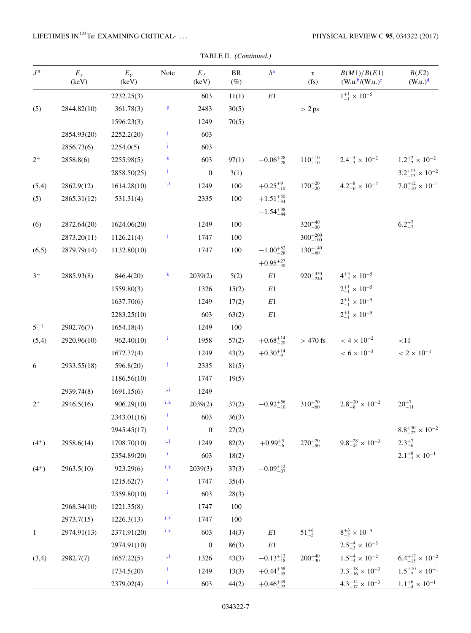| TABLE II. (Continued.) |
|------------------------|

| $J^{\pi}$    | $\mathcal{E}_x$<br>(keV) | $E_{\gamma}$<br>(keV) | Note                    | $E_f$<br>(keV)   | $\rm{BR}$<br>$(\%)$ | $\delta^{\mathbf{a}}$ | $\tau$<br>(fs)      | B(M1)/B(E1)<br>$(W.u.^{b}/(W.u.)^{c}$ | B(E2)<br>(W.u.) <sup>d</sup>     |
|--------------|--------------------------|-----------------------|-------------------------|------------------|---------------------|-----------------------|---------------------|---------------------------------------|----------------------------------|
|              |                          | 2232.25(3)            |                         | 603              | 11(1)               | $E1\,$                |                     | $1^{+1}_{-1} \times 10^{-5}$          |                                  |
| (5)          | 2844.82(10)              | 361.78(3)             | $\mathsf g$             | 2483             | 30(5)               |                       | > 2 ps              |                                       |                                  |
|              |                          | 1596.23(3)            |                         | 1249             | 70(5)               |                       |                     |                                       |                                  |
|              | 2854.93(20)              | 2252.2(20)            | Ĵ                       | 603              |                     |                       |                     |                                       |                                  |
|              | 2856.73(6)               | 2254.0(5)             | Ĵ                       | 603              |                     |                       |                     |                                       |                                  |
| $2^+$        | 2858.8(6)                | 2255.98(5)            | $\bf{k}$                | 603              | 97(1)               | $-0.06_{-28}^{+28}$   | $110^{+10}_{-10}$   | $2.4^{+4}_{-3} \times 10^{-2}$        | $1.2^{+2}_{-2} \times 10^{-2}$   |
|              |                          | 2858.50(25)           | $\mathbf{i}$            | $\boldsymbol{0}$ | 3(1)                |                       |                     |                                       | $3.2^{+15}_{-13} \times 10^{-2}$ |
| (5,4)        | 2862.9(12)               | 1614.28(10)           | i, l                    | 1249             | 100                 | $+0.25^{+9}_{-10}$    | $170^{+20}_{-20}$   | $4.2^{+8}_{-6} \times 10^{-2}$        | $7.0^{+12}_{-10} \times 10^{-1}$ |
| (5)          | 2865.31(12)              | 531.31(4)             |                         | 2335             | 100                 | $+1.51_{-34}^{+50}$   |                     |                                       |                                  |
|              |                          |                       |                         |                  |                     | $-1.54_{-44}^{+38}$   |                     |                                       |                                  |
| (6)          | 2872.64(20)              | 1624.06(20)           |                         | 1249             | 100                 |                       | $320^{+40}_{-30}$   |                                       | $6.2^{+7}_{-7}$                  |
|              | 2873.20(11)              | 1126.21(4)            | Ĵ                       | 1747             | 100                 |                       | $300^{+200}_{-100}$ |                                       |                                  |
| (6,5)        | 2879.79(14)              | 1132.80(10)           |                         | 1747             | $100\,$             | $-1.00_{-28}^{+62}$   | $130^{+140}_{-60}$  |                                       |                                  |
|              |                          |                       |                         |                  |                     | $+0.95_{-30}^{+27}$   |                     |                                       |                                  |
| $3-$         | 2885.93(8)               | 846.4(20)             | $\bf{k}$                | 2039(2)          | 5(2)                | $E1\,$                | $920^{+450}_{-240}$ | $4^{+3}_{-2} \times 10^{-5}$          |                                  |
|              |                          | 1559.80(3)            |                         | 1326             | 15(2)               | $E1\,$                |                     | $2^{+1}_{-1} \times 10^{-5}$          |                                  |
|              |                          | 1637.70(6)            |                         | 1249             | 17(2)               | $E1\,$                |                     | $2^{+1}_{-1} \times 10^{-5}$          |                                  |
|              |                          | 2283.25(10)           |                         | 603              | 63(2)               | $E1\,$                |                     | $2^{+1}_{-1} \times 10^{-5}$          |                                  |
| $5^{(-)}$    | 2902.76(7)               | 1654.18(4)            |                         | 1249             | 100                 |                       |                     |                                       |                                  |
| (5,4)        | 2920.96(10)              | 962.40(10)            | $\mathbf{i}$            | 1958             | 57(2)               | $+0.68^{+14}_{-20}$   | $>$ 470 fs          | $< 4 \times 10^{-2}$                  | <11                              |
|              |                          | 1672.37(4)            |                         | 1249             | 43(2)               | $+0.30^{+14}_{-9}$    |                     | $< 6 \times 10^{-3}$                  | $< 2 \times 10^{-1}$             |
| 6            | 2933.55(18)              | 596.8(20)             | Ĵ                       | 2335             | 81(5)               |                       |                     |                                       |                                  |
|              |                          | 1186.56(10)           |                         | 1747             | 19(5)               |                       |                     |                                       |                                  |
|              | 2939.74(8)               | 1691.15(6)            | $_{\rm j,i}$            | 1249             |                     |                       |                     |                                       |                                  |
| $2^+$        | 2946.5(16)               | 906.29(10)            | i, k                    | 2039(2)          | 37(2)               | $-0.92_{-10}^{+56}$   | $310^{+70}_{-60}$   | $2.8^{+20}_{-8} \times 10^{-2}$       | $20^{+7}_{-11}$                  |
|              |                          | 2343.01(16)           | $\mathbf{i}$            | 603              | 36(3)               |                       |                     |                                       |                                  |
|              |                          | 2945.45(17)           | $\mathbf{i}$            | $\boldsymbol{0}$ | 27(2)               |                       |                     |                                       | $8.8^{+30}_{-22} \times 10^{-2}$ |
| $(4^{+})$    | 2958.6(14)               | 1708.70(10)           | i, l                    | 1249             | 82(2)               | $+0.99^{+5}_{-6}$     | $270^{+70}_{-50}$   | $9.8^{+28}_{-24} \times 10^{-3}$      | $2.3^{+7}_{-6}$                  |
|              |                          | 2354.89(20)           | $\mathbf{i}$            | 603              | 18(2)               |                       |                     |                                       | $2.1^{+8}_{-7} \times 10^{-1}$   |
| $(4^{+})$    | 2963.5(10)               | 923.29(6)             | i, k                    | 2039(3)          | 37(3)               | $-0.09_{-07}^{+12}$   |                     |                                       |                                  |
|              |                          | 1215.62(7)            | $\mathbf{i}$            | 1747             | 35(4)               |                       |                     |                                       |                                  |
|              |                          | 2359.80(10)           | i,                      | 603              | 28(3)               |                       |                     |                                       |                                  |
|              | 2968.34(10)              | 1221.35(8)            |                         | 1747             | 100                 |                       |                     |                                       |                                  |
|              | 2973.7(15)               | 1226.3(13)            | ${\bf j},{\bf k}$       | 1747             | 100                 |                       |                     |                                       |                                  |
| $\mathbf{1}$ | 2974.91(13)              | 2371.91(20)           | $\mathbf{i},\mathbf{k}$ | 603              | 14(3)               | $E1\,$                | $51^{+6}_{-5}$      | $8^{+3}_{-2} \times 10^{-5}$          |                                  |
|              |                          | 2974.91(10)           |                         | $\boldsymbol{0}$ | 86(3)               | $E1\,$                |                     | $2.5^{+4}_{-3} \times 10^{-5}$        |                                  |
| (3,4)        | 2982.7(7)                | 1657.22(5)            | i, l                    | 1326             | 43(3)               | $-0.13_{-18}^{+13}$   | $200^{+40}_{-30}$   | $1.5^{+4}_{-4} \times 10^{-2}$        | $6.4^{+17}_{-15} \times 10^{-2}$ |
|              |                          | 1734.5(20)            | i,                      | 1249             | 13(3)               | $+0.44^{+58}_{-35}$   |                     | $3.3^{+18}_{-16} \times 10^{-3}$      | $1.5^{+10}_{-7} \times 10^{-1}$  |
|              |                          | 2379.02(4)            | $\mathbf{i}$            | 603              | 44(2)               | $+0.46_{-22}^{+49}$   |                     | $4.3^{+14}_{-17} \times 10^{-3}$      | $1.1^{+6}_{-4} \times 10^{-1}$   |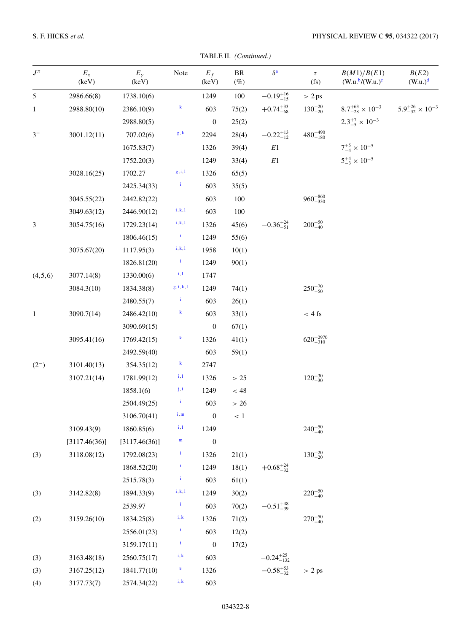TABLE II. (Continued.)

| $J^{\pi}$    | $E_x$<br>(keV) | $E_{\gamma}$<br>(keV) | Note                                          | $E_f$<br>(keV)   | <b>BR</b><br>$(\%)$ | $\delta^{\rm a}$     | $\tau$<br>(fs)       | B(M1)/B(E1)<br>$(W.u.^{b}/(W.u.)^c)$ | B(E2)<br>(W.u.) <sup>d</sup>     |
|--------------|----------------|-----------------------|-----------------------------------------------|------------------|---------------------|----------------------|----------------------|--------------------------------------|----------------------------------|
| 5            | 2986.66(8)     | 1738.10(6)            |                                               | 1249             | 100                 | $-0.19^{+16}_{-15}$  | > 2 ps               |                                      |                                  |
| 1            | 2988.80(10)    | 2386.10(9)            | $\bf{k}$                                      | 603              | 75(2)               | $+0.74_{-68}^{+33}$  | $130^{+20}_{-20}$    | $8.7^{+63}_{-28} \times 10^{-3}$     | $5.9^{+26}_{-32} \times 10^{-3}$ |
|              |                | 2988.80(5)            |                                               | $\boldsymbol{0}$ | 25(2)               |                      |                      | $2.3^{+7}_{-5} \times 10^{-3}$       |                                  |
| $3-$         | 3001.12(11)    | 707.02(6)             | g, k                                          | 2294             | 28(4)               | $-0.22_{-12}^{+13}$  | $480^{+490}_{-180}$  |                                      |                                  |
|              |                | 1675.83(7)            |                                               | 1326             | 39(4)               | E1                   |                      | $7^{+5}_{-4} \times 10^{-5}$         |                                  |
|              |                | 1752.20(3)            |                                               | 1249             | 33(4)               | $E1\,$               |                      | $5^{+4}_{-3} \times 10^{-5}$         |                                  |
|              | 3028.16(25)    | 1702.27               | $\mathsf{g},\mathsf{i},\mathsf{l}$            | 1326             | 65(5)               |                      |                      |                                      |                                  |
|              |                | 2425.34(33)           | $\mathbf{i}$                                  | 603              | 35(5)               |                      |                      |                                      |                                  |
|              | 3045.55(22)    | 2442.82(22)           |                                               | 603              | 100                 |                      | $960^{+860}_{-330}$  |                                      |                                  |
|              | 3049.63(12)    | 2446.90(12)           | i, k, l                                       | 603              | 100                 |                      |                      |                                      |                                  |
| 3            | 3054.75(16)    | 1729.23(14)           | i, k, l                                       | 1326             | 45(6)               | $-0.36_{-51}^{+24}$  | $200^{+50}_{-40}$    |                                      |                                  |
|              |                | 1806.46(15)           | $\mathbf{i}$                                  | 1249             | 55(6)               |                      |                      |                                      |                                  |
|              | 3075.67(20)    | 1117.95(3)            | i, k, l                                       | 1958             | 10(1)               |                      |                      |                                      |                                  |
|              |                | 1826.81(20)           | $\mathbf{i}$                                  | 1249             | 90(1)               |                      |                      |                                      |                                  |
| (4,5,6)      | 3077.14(8)     | 1330.00(6)            | i, l                                          | 1747             |                     |                      |                      |                                      |                                  |
|              | 3084.3(10)     | 1834.38(8)            | $\mathsf{g},\mathsf{i},\mathsf{k},\mathsf{l}$ | 1249             | 74(1)               |                      | $250^{+70}_{-50}$    |                                      |                                  |
|              |                | 2480.55(7)            | İ                                             | 603              | 26(1)               |                      |                      |                                      |                                  |
| $\mathbf{1}$ | 3090.7(14)     | 2486.42(10)           | $\bf{k}$                                      | 603              | 33(1)               |                      | $< 4 \text{ fs}$     |                                      |                                  |
|              |                | 3090.69(15)           |                                               | $\boldsymbol{0}$ | 67(1)               |                      |                      |                                      |                                  |
|              | 3095.41(16)    | 1769.42(15)           | $\bf{k}$                                      | 1326             | 41(1)               |                      | $620^{+2970}_{-310}$ |                                      |                                  |
|              |                | 2492.59(40)           |                                               | 603              | 59(1)               |                      |                      |                                      |                                  |
| $(2^{-})$    | 3101.40(13)    | 354.35(12)            | $\bf{k}$                                      | 2747             |                     |                      |                      |                                      |                                  |
|              | 3107.21(14)    | 1781.99(12)           | $_{i,1}$                                      | 1326             | > 25                |                      | $120^{+30}_{-30}$    |                                      |                                  |
|              |                | 1858.1(6)             | j, i                                          | 1249             | $< 48\,$            |                      |                      |                                      |                                  |
|              |                | 2504.49(25)           | $\mathbf{i}$                                  | 603              | $>26$               |                      |                      |                                      |                                  |
|              |                | 3106.70(41)           | i, m                                          | $\boldsymbol{0}$ | $\leq 1$            |                      |                      |                                      |                                  |
|              | 3109.43(9)     | 1860.85(6)            | $\rm i,l$                                     | 1249             |                     |                      | $240^{+50}_{-40}$    |                                      |                                  |
|              | [3117.46(36)]  | [3117.46(36)]         | $\mathbf m$                                   | $\boldsymbol{0}$ |                     |                      |                      |                                      |                                  |
| (3)          | 3118.08(12)    | 1792.08(23)           | $\mathbf{i}$                                  | 1326             | 21(1)               |                      | $130^{+20}_{-20}$    |                                      |                                  |
|              |                | 1868.52(20)           | $\mathbf{i}$                                  | 1249             | 18(1)               | $+0.68^{+24}_{-32}$  |                      |                                      |                                  |
|              |                | 2515.78(3)            | $\mathbf{i}$                                  | 603              | 61(1)               |                      |                      |                                      |                                  |
| (3)          | 3142.82(8)     | 1894.33(9)            | $\mathbf{i}, \mathbf{k}, \mathbf{l}$          | 1249             | 30(2)               |                      | $220^{+50}_{-40}$    |                                      |                                  |
|              |                | 2539.97               | $\mathbf{i}$                                  | 603              | 70(2)               | $-0.51_{-39}^{+48}$  |                      |                                      |                                  |
| (2)          | 3159.26(10)    | 1834.25(8)            | i, k                                          | 1326             | 71(2)               |                      | $270^{+50}_{-40}$    |                                      |                                  |
|              |                | 2556.01(23)           | $\mathbf{i}$                                  | 603              | 12(2)               |                      |                      |                                      |                                  |
|              |                | 3159.17(11)           | $\mathbf{i}$                                  | $\boldsymbol{0}$ | 17(2)               |                      |                      |                                      |                                  |
| (3)          | 3163.48(18)    | 2560.75(17)           | i, k                                          | 603              |                     | $-0.24_{-132}^{+25}$ |                      |                                      |                                  |
| (3)          | 3167.25(12)    | 1841.77(10)           | $\bf{k}$                                      | 1326             |                     | $-0.58^{+53}_{-32}$  | > 2 ps               |                                      |                                  |
| (4)          | 3177.73(7)     | 2574.34(22)           | i, k                                          | 603              |                     |                      |                      |                                      |                                  |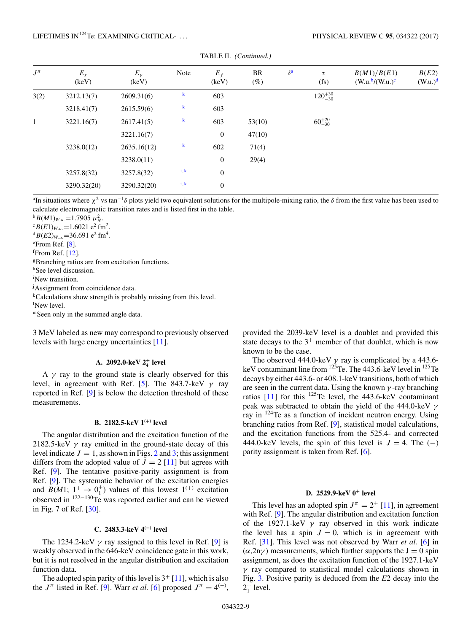<span id="page-10-0"></span>

| $J^{\pi}$ | $E_x$<br>(keV) | $E_{\gamma}$<br>(keV) | Note    | $E_f$<br>(keV) | BR<br>$(\%)$ | $\delta^{\mathbf{a}}$ | $\tau$<br>$(f_s)$ | B(M1)/B(E1)<br>$(W.u.^{b}/(W.u.)^{c}$ | B(E2)<br>$(W.u.)^d$ |
|-----------|----------------|-----------------------|---------|----------------|--------------|-----------------------|-------------------|---------------------------------------|---------------------|
| 3(2)      | 3212.13(7)     | 2609.31(6)            | k       | 603            |              |                       | $120^{+30}_{-30}$ |                                       |                     |
|           | 3218.41(7)     | 2615.59(6)            | k       | 603            |              |                       |                   |                                       |                     |
| 1         | 3221.16(7)     | 2617.41(5)            | $\bf k$ | 603            | 53(10)       |                       | $60^{+20}_{-30}$  |                                       |                     |
|           |                | 3221.16(7)            |         | $\mathbf{0}$   | 47(10)       |                       |                   |                                       |                     |
|           | 3238.0(12)     | 2635.16(12)           | $\bf k$ | 602            | 71(4)        |                       |                   |                                       |                     |
|           |                | 3238.0(11)            |         | $\mathbf{0}$   | 29(4)        |                       |                   |                                       |                     |
|           | 3257.8(32)     | 3257.8(32)            | i, k    | $\mathbf{0}$   |              |                       |                   |                                       |                     |
|           | 3290.32(20)    | 3290.32(20)           | i, k    | $\mathbf{0}$   |              |                       |                   |                                       |                     |

TABLE II. *(Continued.)*

<sup>a</sup>In situations where  $\chi^2$  vs tan<sup>-1</sup>δ plots yield two equivalent solutions for the multipole-mixing ratio, the δ from the first value has been used to calculate electromagnetic transition rates and is listed first in the table.

 ${}^{\text{b}}B(M1)_{W.u.} = 1.7905 \mu_N^2$ .<br><sup>c</sup> *B*(*F*1)<sub>*m*</sub> = 1.6021 e<sup>2</sup> fn</sub>

 $B(E1)_{W.u.} = 1.6021 \text{ e}^2 \text{ fm}^2$ .  $\mathrm{d}B(E2)_{W.u.}$  = 36.691 e<sup>2</sup> fm<sup>4</sup>. e From Ref. [\[8\]](#page-14-0). f From Ref. [\[12\]](#page-14-0). gBranching ratios are from excitation functions. hSee level discussion. i New transition. <sup>j</sup>Assignment from coincidence data.  $k$ Calculations show strength is probably missing from this level.

l New level.

mSeen only in the summed angle data.

3 MeV labeled as new may correspond to previously observed levels with large energy uncertainties [\[11\]](#page-14-0).

## **A. 2092.0-keV 2<sup>+</sup> <sup>4</sup> level**

A  $\gamma$  ray to the ground state is clearly observed for this level, in agreement with Ref. [\[5\]](#page-14-0). The 843.7-keV *γ* ray reported in Ref. [\[9\]](#page-14-0) is below the detection threshold of these measurements.

## **B. 2182.5-keV 1(+) level**

The angular distribution and the excitation function of the 2182.5-keV *γ* ray emitted in the ground-state decay of this level indicate  $J = 1$ , as shown in Figs. [2](#page-3-0) and [3;](#page-4-0) this assignment differs from the adopted value of  $J = 2$  [\[11\]](#page-14-0) but agrees with Ref. [\[9\]](#page-14-0). The tentative positive-parity assignment is from Ref. [\[9\]](#page-14-0). The systematic behavior of the excitation energies and *B*(*M*1;  $1^+ \rightarrow 0^+$ ) values of this lowest  $1^{(+)}$  excitation observed in  $^{122-130}$ Te was reported earlier and can be viewed in Fig. 7 of Ref. [\[30\]](#page-14-0).

## **C. 2483.3-keV 4(−) level**

The 1234.2-keV  $\gamma$  ray assigned to this level in Ref. [\[9\]](#page-14-0) is weakly observed in the 646-keV coincidence gate in this work, but it is not resolved in the angular distribution and excitation function data.

The adopted spin parity of this level is  $3^+$  [\[11\]](#page-14-0), which is also the  $J^{\pi}$  listed in Ref. [\[9\]](#page-14-0). Warr *et al.* [\[6\]](#page-14-0) proposed  $J^{\pi} = 4^{(-)}$ ,

provided the 2039-keV level is a doublet and provided this state decays to the  $3^+$  member of that doublet, which is now known to be the case.

The observed 444.0-keV  $\gamma$  ray is complicated by a 443.6keV contaminant line from  $125$ Te. The 443.6-keV level in  $125$ Te decays by either 443.6- or 408.1-keV transitions, both of which are seen in the current data. Using the known *γ* -ray branching ratios  $\begin{bmatrix} 11 \end{bmatrix}$  for this <sup>125</sup>Te level, the 443.6-keV contaminant peak was subtracted to obtain the yield of the 444.0-keV *γ* ray in  $124$ Te as a function of incident neutron energy. Using branching ratios from Ref. [\[9\]](#page-14-0), statistical model calculations, and the excitation functions from the 525.4- and corrected 444.0-keV levels, the spin of this level is  $J = 4$ . The (−) parity assignment is taken from Ref. [\[6\]](#page-14-0).

#### **D. 2529.9-keV 0<sup>+</sup> level**

This level has an adopted spin  $J^{\pi} = 2^+$  [\[11\]](#page-14-0), in agreement with Ref. [\[9\]](#page-14-0). The angular distribution and excitation function of the 1927.1-keV  $\gamma$  ray observed in this work indicate the level has a spin  $J = 0$ , which is in agreement with Ref. [\[31\]](#page-14-0). This level was not observed by Warr *et al.* [\[6\]](#page-14-0) in  $(\alpha, 2n\gamma)$  measurements, which further supports the  $J = 0$  spin assignment, as does the excitation function of the 1927.1-keV *γ* ray compared to statistical model calculations shown in Fig. [3.](#page-4-0) Positive parity is deduced from the *E*2 decay into the  $2^+_1$  level.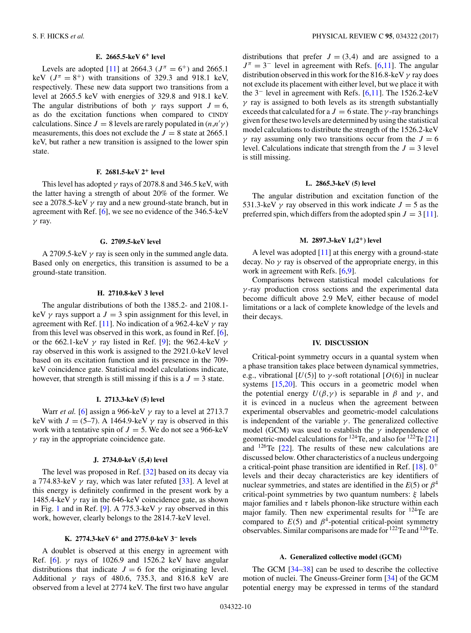## **E. 2665.5-keV 6<sup>+</sup> level**

Levels are adopted [\[11\]](#page-14-0) at 2664.3 ( $J^{\pi} = 6^{+}$ ) and 2665.1 keV  $(J^{\pi} = 8^+)$  with transitions of 329.3 and 918.1 keV, respectively. These new data support two transitions from a level at 2665.5 keV with energies of 329.8 and 918.1 keV. The angular distributions of both  $\gamma$  rays support  $J = 6$ , as do the excitation functions when compared to CINDY calculations. Since  $J = 8$  levels are rarely populated in  $(n,n'\gamma)$ measurements, this does not exclude the  $J = 8$  state at 2665.1 keV, but rather a new transition is assigned to the lower spin state.

## **F. 2681.5-keV 2<sup>+</sup> level**

This level has adopted *γ* rays of 2078.8 and 346.5 keV, with the latter having a strength of about 20% of the former. We see a 2078.5-keV *γ* ray and a new ground-state branch, but in agreement with Ref. [\[6\]](#page-14-0), we see no evidence of the 346.5-keV *γ* ray.

#### **G. 2709.5-keV level**

A 2709.5-keV *γ* ray is seen only in the summed angle data. Based only on energetics, this transition is assumed to be a ground-state transition.

#### **H. 2710.8-keV 3 level**

The angular distributions of both the 1385.2- and 2108.1 keV  $\gamma$  rays support a  $J = 3$  spin assignment for this level, in agreement with Ref. [\[11\]](#page-14-0). No indication of a 962.4-keV *γ* ray from this level was observed in this work, as found in Ref. [\[6\]](#page-14-0), or the 662.1-keV *γ* ray listed in Ref. [\[9\]](#page-14-0); the 962.4-keV *γ* ray observed in this work is assigned to the 2921.0-keV level based on its excitation function and its presence in the 709 keV coincidence gate. Statistical model calculations indicate, however, that strength is still missing if this is a  $J = 3$  state.

## **I. 2713.3-keV (5) level**

Warr *et al.* [\[6\]](#page-14-0) assign a 966-keV *γ* ray to a level at 2713.7 keV with  $J = (5-7)$ . A 1464.9-keV  $\gamma$  ray is observed in this work with a tentative spin of  $J = 5$ . We do not see a 966-keV *γ* ray in the appropriate coincidence gate.

#### **J. 2734.0-keV (5,4) level**

The level was proposed in Ref. [\[32\]](#page-14-0) based on its decay via a 774.83-keV  $\gamma$  ray, which was later refuted [\[33\]](#page-14-0). A level at this energy is definitely confirmed in the present work by a 1485.4-keV *γ* ray in the 646-keV coincidence gate, as shown in Fig. [1](#page-3-0) and in Ref. [\[9\]](#page-14-0). A 775.3-keV  $\gamma$  ray observed in this work, however, clearly belongs to the 2814.7-keV level.

#### **K. 2774.3-keV 6<sup>+</sup> and 2775.0-keV 3<sup>−</sup> levels**

A doublet is observed at this energy in agreement with Ref. [\[6\]](#page-14-0). *γ* rays of 1026.9 and 1526.2 keV have angular distributions that indicate  $J = 6$  for the originating level. Additional *γ* rays of 480.6, 735.3, and 816.8 keV are observed from a level at 2774 keV. The first two have angular

distributions that prefer  $J = (3, 4)$  and are assigned to a  $J^{\pi} = 3^-$  level in agreement with Refs. [\[6,11\]](#page-14-0). The angular distribution observed in this work for the 816.8-keV *γ* ray does not exclude its placement with either level, but we place it with the 3<sup>−</sup> level in agreement with Refs. [\[6,11\]](#page-14-0). The 1526.2-keV *γ* ray is assigned to both levels as its strength substantially exceeds that calculated for a  $J = 6$  state. The *γ*-ray branchings given for these two levels are determined by using the statistical model calculations to distribute the strength of the 1526.2-keV *γ* ray assuming only two transitions occur from the  $J = 6$ level. Calculations indicate that strength from the  $J = 3$  level is still missing.

#### **L. 2865.3-keV (5) level**

The angular distribution and excitation function of the 531.3-keV  $\gamma$  ray observed in this work indicate  $J = 5$  as the preferred spin, which differs from the adopted spin  $J = 3$  [\[11\]](#page-14-0).

#### **M. 2897.3-keV 1,(2+) level**

A level was adopted [\[11\]](#page-14-0) at this energy with a ground-state decay. No *γ* ray is observed of the appropriate energy, in this work in agreement with Refs. [\[6,9\]](#page-14-0).

Comparisons between statistical model calculations for *γ* -ray production cross sections and the experimental data become difficult above 2.9 MeV, either because of model limitations or a lack of complete knowledge of the levels and their decays.

#### **IV. DISCUSSION**

Critical-point symmetry occurs in a quantal system when a phase transition takes place between dynamical symmetries, e.g., vibrational  $[U(5)]$  to  $\gamma$ -soft rotational  $[O(6)]$  in nuclear systems [\[15,20\]](#page-14-0). This occurs in a geometric model when the potential energy  $U(\beta, \gamma)$  is separable in  $\beta$  and  $\gamma$ , and it is evinced in a nucleus when the agreement between experimental observables and geometric-model calculations is independent of the variable  $\gamma$ . The generalized collective model (GCM) was used to establish the *γ* independence of geometric-model calculations for  $^{124}$ Te, and also for  $^{122}$ Te [\[21\]](#page-14-0) and  $126$ Te [\[22\]](#page-14-0). The results of these new calculations are discussed below. Other characteristics of a nucleus undergoing a critical-point phase transition are identified in Ref.  $[18]$ .  $0^+$ levels and their decay characteristics are key identifiers of nuclear symmetries, and states are identified in the  $E(5)$  or  $\beta^4$ critical-point symmetries by two quantum numbers: *ξ* labels major families and  $\tau$  labels phonon-like structure within each major family. Then new experimental results for 124Te are compared to  $E(5)$  and  $\beta^4$ -potential critical-point symmetry observables. Similar comparisons are made for 122Te and 126Te.

#### **A. Generalized collective model (GCM)**

The GCM [\[34–38\]](#page-14-0) can be used to describe the collective motion of nuclei. The Gneuss-Greiner form [\[34\]](#page-14-0) of the GCM potential energy may be expressed in terms of the standard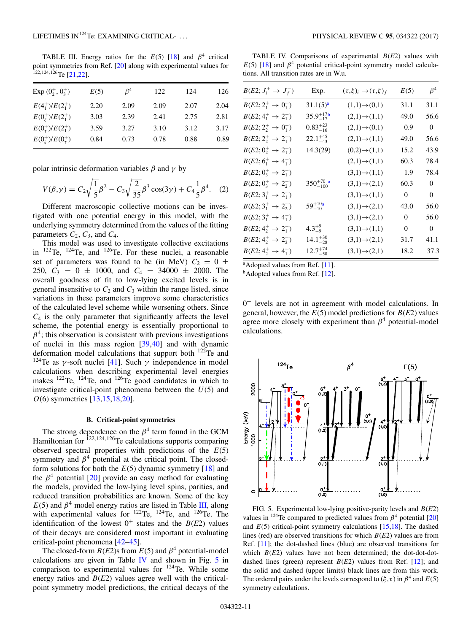<span id="page-12-0"></span>TABLE III. Energy ratios for the  $E(5)$  [\[18\]](#page-14-0) and  $\beta^4$  critical point symmetries from Ref. [\[20\]](#page-14-0) along with experimental values for <sup>122</sup>*,*124*,*126Te [\[21,22\]](#page-14-0).

| Exp $(0^+, 0^+$                  | E(5) | $\beta^4$ | 122  | 124  | 126  |
|----------------------------------|------|-----------|------|------|------|
| $E(4_1^+)/E(2_1^+)$              | 2.20 | 2.09      | 2.09 | 2.07 | 2.04 |
| $E(0k+)/E(21+)$                  | 3.03 | 2.39      | 2.41 | 2.75 | 2.81 |
| $E(0^+_r)/E(2^+_1)$              | 3.59 | 3.27      | 3.10 | 3.12 | 3.17 |
| $E(0_{\xi}^{+})/E(0_{\tau}^{+})$ | 0.84 | 0.73      | 0.78 | 0.88 | 0.89 |

polar intrinsic deformation variables  $\beta$  and  $\gamma$  by

$$
V(\beta, \gamma) = C_2 \sqrt{\frac{1}{5}} \beta^2 - C_3 \sqrt{\frac{2}{35}} \beta^3 \cos(3\gamma) + C_4 \frac{1}{5} \beta^4.
$$
 (2)

Different macroscopic collective motions can be investigated with one potential energy in this model, with the underlying symmetry determined from the values of the fitting parameters  $C_2$ ,  $C_3$ , and  $C_4$ .

This model was used to investigate collective excitations in <sup>122</sup>Te, <sup>124</sup>Te, and <sup>126</sup>Te. For these nuclei, a reasonable set of parameters was found to be (in MeV)  $C_2 = 0 \pm \sqrt{2}$ 250,  $C_3 = 0 \pm 1000$ , and  $C_4 = 34000 \pm 2000$ . The overall goodness of fit to low-lying excited levels is in general insensitive to  $C_2$  and  $C_3$  within the range listed, since variations in these parameters improve some characteristics of the calculated level scheme while worsening others. Since  $C_4$  is the only parameter that significantly affects the level scheme, the potential energy is essentially proportional to  $\beta^4$ ; this observation is consistent with previous investigations of nuclei in this mass region [\[39,40\]](#page-14-0) and with dynamic deformation model calculations that support both  $^{122}$ Te and <sup>124</sup>Te as *γ*-soft nuclei [\[41\]](#page-14-0). Such *γ* independence in model calculations when describing experimental level energies makes  $^{122}$ Te,  $^{124}$ Te, and  $^{126}$ Te good candidates in which to investigate critical-point phenomena between the *U*(5) and *O*(6) symmetries [\[13,15,18,20\]](#page-14-0).

## **B. Critical-point symmetries**

The strong dependence on the  $\beta^4$  term found in the GCM Hamiltonian for <sup>122</sup>*,*124*,*126Te calculations supports comparing observed spectral properties with predictions of the *E*(5) symmetry and  $\beta^4$  potential at the critical point. The closedform solutions for both the  $E(5)$  dynamic symmetry [\[18\]](#page-14-0) and the  $\beta^4$  potential [\[20\]](#page-14-0) provide an easy method for evaluating the models, provided the low-lying level spins, parities, and reduced transition probabilities are known. Some of the key  $E(5)$  and  $\beta^4$  model energy ratios are listed in Table III, along with experimental values for  $^{122}$ Te,  $^{124}$ Te, and  $^{126}$ Te. The identification of the lowest  $0^+$  states and the  $B(E2)$  values of their decays are considered most important in evaluating critical-point phenomena [\[42–45\]](#page-14-0).

The closed-form  $B(E2)$ s from  $E(5)$  and  $\beta^4$  potential-model calculations are given in Table IV and shown in Fig. 5 in comparison to experimental values for  $124$ Te. While some energy ratios and  $B(E2)$  values agree well with the criticalpoint symmetry model predictions, the critical decays of the

TABLE IV. Comparisons of experimental *B*(*E*2) values with  $E(5)$  [\[18\]](#page-14-0) and  $\beta^4$  potential critical-point symmetry model calculations. All transition rates are in W.u.

| $B(E2; J_i^+ \to J_f^+)$         | Exp.                 | $(\tau,\xi)_i \rightarrow (\tau,\xi)_f$ | E(5)           | $\beta^4$      |
|----------------------------------|----------------------|-----------------------------------------|----------------|----------------|
| $B(E2; 2^+_1 \rightarrow 0^+_1)$ | $31.1(5)^a$          | $(1,1) \rightarrow (0,1)$               | 31.1           | 31.1           |
| $B(E2; 4^+_1 \rightarrow 2^+_1)$ | $35.9^{+17b}_{-17}$  | $(2,1) \rightarrow (1,1)$               | 49.0           | 56.6           |
| $B(E2; 2^+_2 \rightarrow 0^+_1)$ | $0.83_{-16}^{+23}$   | $(2,1) \rightarrow (0,1)$               | 0.9            | $\overline{0}$ |
| $B(E2; 2^+_2 \rightarrow 2^+_1)$ | $22.1_{-43}^{+45}$   | $(2,1) \rightarrow (1,1)$               | 49.0           | 56.6           |
| $B(E2; 0^+_2 \rightarrow 2^+_1)$ | 14.3(29)             | $(0,2) \rightarrow (1,1)$               | 15.2           | 43.9           |
| $B(E2; 6^+_1 \rightarrow 4^+_1)$ |                      | $(2,1) \rightarrow (1,1)$               | 60.3           | 78.4           |
| $B(E2; 0^+_3 \rightarrow 2^+_1)$ |                      | $(3,1) \rightarrow (1,1)$               | 1.9            | 78.4           |
| $B(E2; 0^+_3 \rightarrow 2^+_2)$ | $350^{+70}_{-100}$ a | $(3,1) \rightarrow (2,1)$               | 60.3           | $\mathbf{0}$   |
| $B(E2; 3^+_1 \rightarrow 2^+_1)$ |                      | $(3,1) \rightarrow (1,1)$               | $\mathbf{0}$   | $\mathbf{0}$   |
| $B(E2; 3^+_1 \rightarrow 2^+_2)$ | $59^{+10a}_{-10}$    | $(3,1) \rightarrow (2,1)$               | 43.0           | 56.0           |
| $B(E2; 3^+_1 \rightarrow 4^+_1)$ |                      | $(3,1) \rightarrow (2,1)$               | $\Omega$       | 56.0           |
| $B(E2; 4^+_2 \rightarrow 2^+_1)$ | $4.3^{+9}_{-9}$      | $(3,1) \rightarrow (1,1)$               | $\overline{0}$ | $\overline{0}$ |
| $B(E2; 4^+_2 \rightarrow 2^+_2)$ | $14.1_{-28}^{+30}$   | $(3,1) \rightarrow (2,1)$               | 31.7           | 41.1           |
| $B(E2; 4^+_2 \rightarrow 4^+_1)$ | $12.7^{+74}_{-58}$   | $(3,1) \rightarrow (2,1)$               | 18.2           | 37.3           |

<sup>a</sup> Adopted values from Ref. [\[11\]](#page-14-0).

 $<sup>b</sup>$ Adopted values from Ref. [\[12\]](#page-14-0).</sup>

 $0^+$  levels are not in agreement with model calculations. In general, however, the  $E(5)$  model predictions for  $B(E2)$  values agree more closely with experiment than  $\beta^4$  potential-model calculations.



FIG. 5. Experimental low-lying positive-parity levels and *B*(*E*2) values in <sup>124</sup>Te compared to predicted values from  $\beta^4$  potential [\[20\]](#page-14-0) and  $E(5)$  critical-point symmetry calculations  $[15,18]$ . The dashed lines (red) are observed transitions for which *B*(*E*2) values are from Ref. [\[11\]](#page-14-0); the dot-dashed lines (blue) are observed transitions for which  $B(E2)$  values have not been determined; the dot-dot-dotdashed lines (green) represent  $B(E2)$  values from Ref. [\[12\]](#page-14-0); and the solid and dashed (upper limits) black lines are from this work. The ordered pairs under the levels correspond to  $(\xi, \tau)$  in  $\beta^4$  and  $E(5)$ symmetry calculations.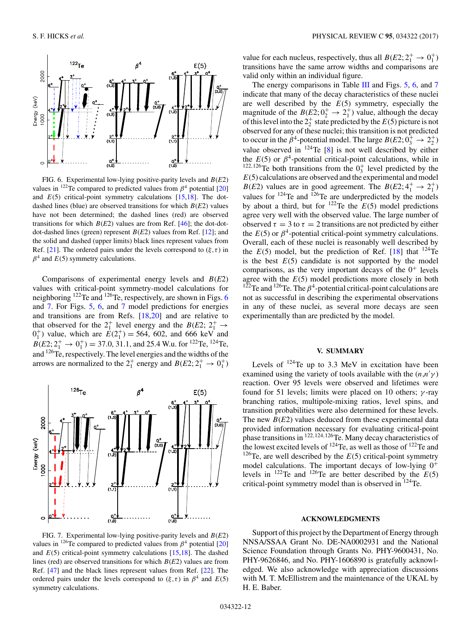

FIG. 6. Experimental low-lying positive-parity levels and *B*(*E*2) values in <sup>122</sup>Te compared to predicted values from  $\beta^4$  potential [\[20\]](#page-14-0) and  $E(5)$  critical-point symmetry calculations  $[15,18]$ . The dotdashed lines (blue) are observed transitions for which *B*(*E*2) values have not been determined; the dashed lines (red) are observed transitions for which  $B(E2)$  values are from Ref. [\[46\]](#page-14-0); the dot-dotdot-dashed lines (green) represent *B*(*E*2) values from Ref. [\[12\]](#page-14-0); and the solid and dashed (upper limits) black lines represent values from Ref. [\[21\]](#page-14-0). The ordered pairs under the levels correspond to  $(\xi, \tau)$  in  $\beta^4$  and  $E(5)$  symmetry calculations.

Comparisons of experimental energy levels and *B*(*E*2) values with critical-point symmetry-model calculations for neighboring <sup>122</sup>Te and <sup>126</sup>Te, respectively, are shown in Figs. 6 and 7. For Figs. [5,](#page-12-0) 6, and 7 model predictions for energies and transitions are from Refs. [\[18,20\]](#page-14-0) and are relative to that observed for the  $2^{+}_{1}$  level energy and the *B*(*E*2;  $2^{+}_{1}$   $\rightarrow$  $0<sub>1</sub><sup>+</sup>$ ) value, which are  $E(2<sub>1</sub><sup>+</sup>) = 564$ , 602, and 666 keV and  $B(E_2; 2^+_1 \rightarrow 0^+_1) = 37.0, 31.1,$  and 25.4 W.u. for <sup>122</sup>Te, <sup>124</sup>Te, and 126Te, respectively. The level energies and the widths of the arrows are normalized to the  $2^+_1$  energy and  $B(E2; 2^+_1 \rightarrow 0^+_1)$ 



FIG. 7. Experimental low-lying positive-parity levels and *B*(*E*2) values in <sup>126</sup>Te compared to predicted values from  $\beta^4$  potential [\[20\]](#page-14-0) and  $E(5)$  critical-point symmetry calculations  $[15,18]$ . The dashed lines (red) are observed transitions for which *B*(*E*2) values are from Ref. [\[47\]](#page-14-0) and the black lines represent values from Ref. [\[22\]](#page-14-0). The ordered pairs under the levels correspond to  $(\xi, \tau)$  in  $\beta^4$  and  $E(5)$ symmetry calculations.

value for each nucleus, respectively, thus all  $B(E2; 2^+_1 \rightarrow 0^+_1)$ transitions have the same arrow widths and comparisons are valid only within an individual figure.

The energy comparisons in Table [III](#page-12-0) and Figs.  $5, 6$  $5, 6$ , and  $7$ indicate that many of the decay characteristics of these nuclei are well described by the *E*(5) symmetry, especially the magnitude of the  $B(E2; 0^+_2 \rightarrow 2^+_1)$  value, although the decay of this level into the  $2^+_2$  state predicted by the  $E(5)$  picture is not observed for any of these nuclei; this transition is not predicted to occur in the  $\beta^4$ -potential model. The large  $B(E2; 0^+_3 \rightarrow 2^+_2)$ value observed in 124Te [\[8\]](#page-14-0) is not well described by either the  $E(5)$  or  $\beta^4$ -potential critical-point calculations, while in <sup>122,126</sup>Te both transitions from the  $0_3^+$  level predicted by the *E*(5) calculations are observed and the experimental and model *B*(*E*2) values are in good agreement. The *B*(*E*2;  $4^+_1 \rightarrow 2^+_1$ ) values for  $124$ Te and  $126$ Te are underpredicted by the models by about a third, but for  $^{122}$ Te the  $E(5)$  model predictions agree very well with the observed value. The large number of observed  $\tau = 3$  to  $\tau = 2$  transitions are not predicted by either the  $E(5)$  or  $\beta^4$ -potential critical-point symmetry calculations. Overall, each of these nuclei is reasonably well described by the  $E(5)$  model, but the prediction of Ref. [\[18\]](#page-14-0) that  $124$ Te is the best  $E(5)$  candidate is not supported by the model comparisons, as the very important decays of the  $0^+$  levels agree with the *E*(5) model predictions more closely in both <sup>122</sup>Te and <sup>126</sup>Te. The  $\beta^4$ -potential critical-point calculations are not as successful in describing the experimental observations in any of these nuclei, as several more decays are seen experimentally than are predicted by the model.

## **V. SUMMARY**

Levels of  $^{124}$ Te up to 3.3 MeV in excitation have been examined using the variety of tools available with the  $(n,n'\gamma)$ reaction. Over 95 levels were observed and lifetimes were found for 51 levels; limits were placed on 10 others; *γ* -ray branching ratios, multipole-mixing ratios, level spins, and transition probabilities were also determined for these levels. The new *B*(*E*2) values deduced from these experimental data provided information necessary for evaluating critical-point phase transitions in <sup>122</sup>*,*124*,*126Te. Many decay characteristics of the lowest excited levels of  $^{124}$ Te, as well as those of  $^{122}$ Te and <sup>126</sup>Te, are well described by the  $E(5)$  critical-point symmetry model calculations. The important decays of low-lying  $0^+$ levels in  $^{122}$ Te and  $^{126}$ Te are better described by the  $E(5)$ critical-point symmetry model than is observed in 124Te.

## **ACKNOWLEDGMENTS**

Support of this project by the Department of Energy through NNSA/SSAA Grant No. DE-NA0002931 and the National Science Foundation through Grants No. PHY-9600431, No. PHY-9626846, and No. PHY-1606890 is gratefully acknowledged. We also acknowledge with appreciation discussions with M. T. McEllistrem and the maintenance of the UKAL by H. E. Baber.